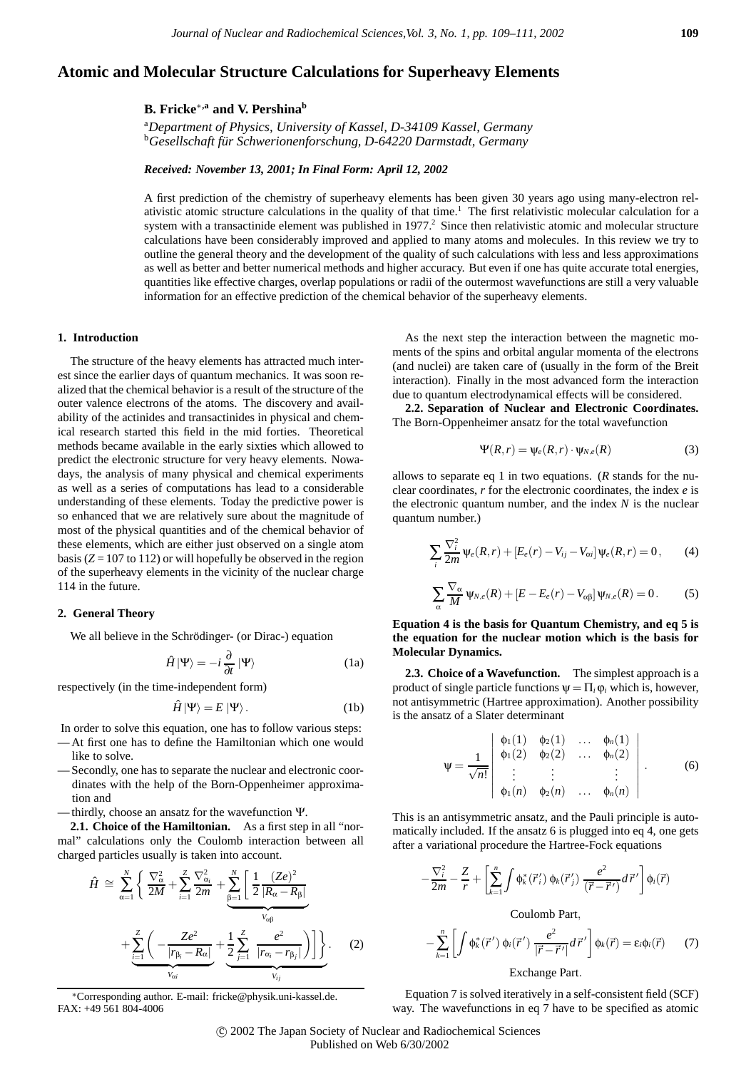# **Atomic and Molecular Structure Calculations for Superheavy Elements**

## **B. Fricke**∗**,a and V. Pershinab**

a *Department of Physics, University of Kassel, D-34109 Kassel, Germany* b *Gesellschaft fur Schwerionenforschung, D-64220 Darmstadt, Germany ¨*

### *Received: November 13, 2001; In Final Form: April 12, 2002*

A first prediction of the chemistry of superheavy elements has been given 30 years ago using many-electron relativistic atomic structure calculations in the quality of that time.<sup>1</sup> The first relativistic molecular calculation for a system with a transactinide element was published in 1977.<sup>2</sup> Since then relativistic atomic and molecular structure calculations have been considerably improved and applied to many atoms and molecules. In this review we try to outline the general theory and the development of the quality of such calculations with less and less approximations as well as better and better numerical methods and higher accuracy. But even if one has quite accurate total energies, quantities like effective charges, overlap populations or radii of the outermost wavefunctions are still a very valuable information for an effective prediction of the chemical behavior of the superheavy elements.

#### **1. Introduction**

The structure of the heavy elements has attracted much interest since the earlier days of quantum mechanics. It was soon realized that the chemical behavior is a result of the structure of the outer valence electrons of the atoms. The discovery and availability of the actinides and transactinides in physical and chemical research started this field in the mid forties. Theoretical methods became available in the early sixties which allowed to predict the electronic structure for very heavy elements. Nowadays, the analysis of many physical and chemical experiments as well as a series of computations has lead to a considerable understanding of these elements. Today the predictive power is so enhanced that we are relatively sure about the magnitude of most of the physical quantities and of the chemical behavior of these elements, which are either just observed on a single atom basis  $(Z = 107$  to 112) or will hopefully be observed in the region of the superheavy elements in the vicinity of the nuclear charge 114 in the future.

### **2. General Theory**

We all believe in the Schrödinger- (or Dirac-) equation

$$
\hat{H}|\Psi\rangle = -i\frac{\partial}{\partial t}|\Psi\rangle \tag{1a}
$$

respectively (in the time-independent form)

$$
\hat{H}|\Psi\rangle = E|\Psi\rangle.
$$
 (1b)

In order to solve this equation, one has to follow various steps:

- At first one has to define the Hamiltonian which one would like to solve.
- Secondly, one has to separate the nuclear and electronic coordinates with the help of the Born-Oppenheimer approximation and
- thirdly, choose an ansatz for the wavefunction Ψ.

**2.1. Choice of the Hamiltonian.** As a first step in all "normal" calculations only the Coulomb interaction between all charged particles usually is taken into account.

$$
\hat{H} \cong \sum_{\alpha=1}^{N} \left\{ \frac{\nabla_{\alpha}^{2}}{2M} + \sum_{i=1}^{Z} \frac{\nabla_{\alpha_{i}}^{2}}{2m} + \underbrace{\sum_{\beta=1}^{N} \left[ \frac{1}{2} \frac{(Ze)^{2}}{|R_{\alpha} - R_{\beta}|} + \frac{\sum_{i=1}^{Z} \left( -\frac{Ze^{2}}{|r_{\beta_{i}} - R_{\alpha}|} + \frac{1}{2} \sum_{j=1}^{Z} \frac{e^{2}}{|r_{\alpha_{i}} - r_{\beta_{j}}|} \right) \right] \right\}}_{V_{\alpha_{i}}}.
$$
\n(2)

∗Corresponding author. E-mail: fricke@physik.uni-kassel.de. FAX: +49 561 804-4006

As the next step the interaction between the magnetic moments of the spins and orbital angular momenta of the electrons (and nuclei) are taken care of (usually in the form of the Breit interaction). Finally in the most advanced form the interaction due to quantum electrodynamical effects will be considered.

**2.2. Separation of Nuclear and Electronic Coordinates.** The Born-Oppenheimer ansatz for the total wavefunction

$$
\Psi(R,r) = \Psi_e(R,r) \cdot \Psi_{N,e}(R) \tag{3}
$$

allows to separate eq 1 in two equations. (*R* stands for the nuclear coordinates, *r* for the electronic coordinates, the index *e* is the electronic quantum number, and the index *N* is the nuclear quantum number.)

$$
\sum_{i} \frac{\nabla_i^2}{2m} \psi_e(R,r) + [E_e(r) - V_{ij} - V_{\alpha i}] \psi_e(R,r) = 0, \qquad (4)
$$

$$
\sum_{\alpha} \frac{\nabla_{\alpha}}{M} \Psi_{N,e}(R) + [E - E_e(r) - V_{\alpha\beta}] \Psi_{N,e}(R) = 0. \tag{5}
$$

**Equation 4 is the basis for Quantum Chemistry, and eq 5 is the equation for the nuclear motion which is the basis for Molecular Dynamics.**

**2.3. Choice of a Wavefunction.** The simplest approach is a product of single particle functions  $\Psi = \Pi_i \varphi_i$  which is, however, not antisymmetric (Hartree approximation). Another possibility is the ansatz of a Slater determinant

$$
\Psi = \frac{1}{\sqrt{n!}} \begin{vmatrix} \phi_1(1) & \phi_2(1) & \dots & \phi_n(1) \\ \phi_1(2) & \phi_2(2) & \dots & \phi_n(2) \\ \vdots & \vdots & & \vdots \\ \phi_1(n) & \phi_2(n) & \dots & \phi_n(n) \end{vmatrix} . \tag{6}
$$

This is an antisymmetric ansatz, and the Pauli principle is automatically included. If the ansatz 6 is plugged into eq 4, one gets after a variational procedure the Hartree-Fock equations

$$
-\frac{\nabla_i^2}{2m}-\frac{Z}{r}+\left[\sum_{k=1}^n\int\phi_k^*(\vec{r}_i')\,\phi_k(\vec{r}_j')\,\frac{e^2}{(\vec{r}-\vec{r}')}\,d\,\vec{r}'\right]\phi_i(\vec{r})
$$

Coulomb Part,

$$
-\sum_{k=1}^{n}\left[\int \phi_k^*(\vec{r}') \phi_i(\vec{r}') \frac{e^2}{|\vec{r}-\vec{r}'|} d\vec{r}'\right] \phi_k(\vec{r}) = \varepsilon_i \phi_i(\vec{r}) \qquad (7)
$$

## Exchange Part.

Equation 7 is solved iteratively in a self-consistent field (SCF) way. The wavefunctions in eq 7 have to be specified as atomic

c 2002 The Japan Society of Nuclear and Radiochemical Sciences Published on Web 6/30/2002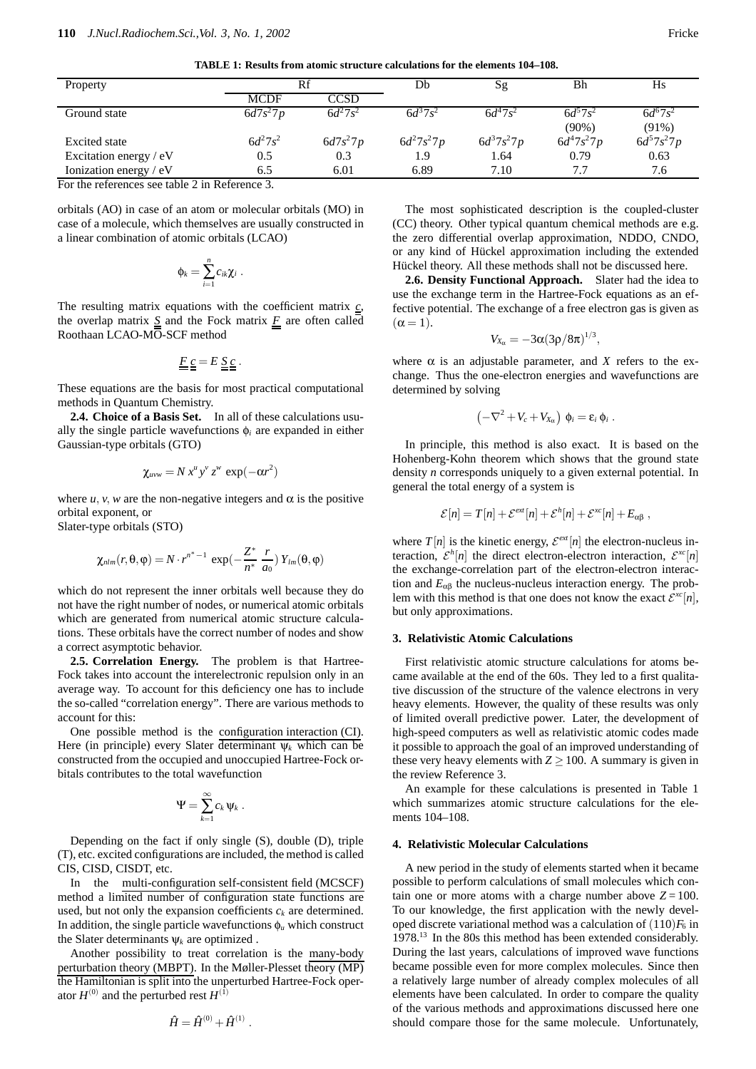**TABLE 1: Results from atomic structure calculations for the elements 104–108.**

| Property                                             | Rf             |            | Db             | Sg             | Bh               | Hs               |  |
|------------------------------------------------------|----------------|------------|----------------|----------------|------------------|------------------|--|
|                                                      | MCDF           | CCSD       |                |                |                  |                  |  |
| Ground state                                         | $6d7s^27p$     | $6d^27s^2$ | $6d^{3}7s^{2}$ | $6d^{4}7s^{2}$ | $6d^{5}7s^{2}$   | $6d^{6}7s^{2}$   |  |
|                                                      |                |            |                |                | $(90\%)$         | $(91\%)$         |  |
| Excited state                                        | $6d^{2}7s^{2}$ | $6d7s^27p$ | $6d^27s^27p$   | $6d^37s^27p$   | $6d^{4}7s^{2}7p$ | $6d^{5}7s^{2}7p$ |  |
| Excitation energy $/eV$                              | 0.5            | 0.3        | 1.9            | 1.64           | 0.79             | 0.63             |  |
| Ionization energy / eV                               | 6.5            | 6.01       | 6.89           | 7.10           | 7.7              | 7.6              |  |
| $\Gamma$ the references see table $2$ in Performed 2 |                |            |                |                |                  |                  |  |

For the references see table 2 in Reference 3.

orbitals (AO) in case of an atom or molecular orbitals (MO) in case of a molecule, which themselves are usually constructed in a linear combination of atomic orbitals (LCAO)

$$
\phi_k = \sum_{i=1}^n c_{ik} \chi_i \; .
$$

The resulting matrix equations with the coefficient matrix *c*, the overlap matrix  $S$  and the Fock matrix  $F$  are often called Roothaan LCAO-MO-SCF method

$$
\underline{F}\underline{c}=E\underline{S}\underline{c}.
$$

These equations are the basis for most practical computational methods in Quantum Chemistry.

**2.4. Choice of a Basis Set.** In all of these calculations usually the single particle wavefunctions φ*<sup>i</sup>* are expanded in either Gaussian-type orbitals (GTO)

$$
\chi_{uvw} = N x^u y^v z^w \exp(-\alpha r^2)
$$

where  $u$ ,  $v$ ,  $w$  are the non-negative integers and  $\alpha$  is the positive orbital exponent, or

Slater-type orbitals (STO)

$$
\chi_{nlm}(r,\theta,\varphi)=N\cdot r^{n^*-1}\,\exp(-\frac{Z^*}{n^*}\,\frac{r}{a_0})\,Y_{lm}(\theta,\varphi)
$$

which do not represent the inner orbitals well because they do not have the right number of nodes, or numerical atomic orbitals which are generated from numerical atomic structure calculations. These orbitals have the correct number of nodes and show a correct asymptotic behavior.

**2.5. Correlation Energy.** The problem is that Hartree-Fock takes into account the interelectronic repulsion only in an average way. To account for this deficiency one has to include the so-called "correlation energy". There are various methods to account for this:

One possible method is the configuration interaction (CI). Here (in principle) every Slater determinant  $\Psi_k$  which can be constructed from the occupied and unoccupied Hartree-Fock orbitals contributes to the total wavefunction

$$
\Psi = \sum_{k=1}^{\infty} c_k \Psi_k.
$$

Depending on the fact if only single (S), double (D), triple (T), etc. excited configurations are included, the method is called CIS, CISD, CISDT, etc.

In the multi-configuration self-consistent field (MCSCF) method a limited number of configuration state functions are used, but not only the expansion coefficients  $c_k$  are determined. In addition, the single particle wavefunctions  $\phi_u$  which construct the Slater determinants  $\psi_k$  are optimized.

Another possibility to treat correlation is the many-body perturbation theory (MBPT). In the Møller-Plesset theory (MP) the Hamiltonian is split into the unperturbed Hartree-Fock operator  $H^{(0)}$  and the perturbed rest  $H^{(\tilde{1})}$ 

$$
\hat{H} = \hat{H}^{(0)} + \hat{H}^{(1)}.
$$

The most sophisticated description is the coupled-cluster (CC) theory. Other typical quantum chemical methods are e.g. the zero differential overlap approximation, NDDO, CNDO, or any kind of Hückel approximation including the extended Hückel theory. All these methods shall not be discussed here.

**2.6. Density Functional Approach.** Slater had the idea to use the exchange term in the Hartree-Fock equations as an effective potential. The exchange of a free electron gas is given as  $(\alpha = 1).$ 

$$
V_{X_\alpha}=-3\alpha(3\rho/8\pi)^{1/3}
$$

,

where  $\alpha$  is an adjustable parameter, and *X* refers to the exchange. Thus the one-electron energies and wavefunctions are determined by solving

$$
\left(-\nabla^2+V_c+V_{X_{\alpha}}\right)\,\phi_i=\varepsilon_i\,\phi_i\;.
$$

In principle, this method is also exact. It is based on the Hohenberg-Kohn theorem which shows that the ground state density *n* corresponds uniquely to a given external potential. In general the total energy of a system is

$$
\mathcal{E}[n] = T[n] + \mathcal{E}^{ext}[n] + \mathcal{E}^{h}[n] + \mathcal{E}^{xc}[n] + E_{\alpha\beta} ,
$$

where  $T[n]$  is the kinetic energy,  $\mathcal{E}^{ext}[n]$  the electron-nucleus interaction,  $\mathcal{E}^h[n]$  the direct electron-electron interaction,  $\mathcal{E}^{xc}[n]$ the exchange-correlation part of the electron-electron interaction and *E*αβ the nucleus-nucleus interaction energy. The problem with this method is that one does not know the exact  $\mathcal{E}^{xc}[n]$ , but only approximations.

## **3. Relativistic Atomic Calculations**

First relativistic atomic structure calculations for atoms became available at the end of the 60s. They led to a first qualitative discussion of the structure of the valence electrons in very heavy elements. However, the quality of these results was only of limited overall predictive power. Later, the development of high-speed computers as well as relativistic atomic codes made it possible to approach the goal of an improved understanding of these very heavy elements with  $Z \ge 100$ . A summary is given in the review Reference 3.

An example for these calculations is presented in Table 1 which summarizes atomic structure calculations for the elements 104–108.

## **4. Relativistic Molecular Calculations**

A new period in the study of elements started when it became possible to perform calculations of small molecules which contain one or more atoms with a charge number above  $Z = 100$ . To our knowledge, the first application with the newly developed discrete variational method was a calculation of  $(110)F_6$  in 1978.13 In the 80s this method has been extended considerably. During the last years, calculations of improved wave functions became possible even for more complex molecules. Since then a relatively large number of already complex molecules of all elements have been calculated. In order to compare the quality of the various methods and approximations discussed here one should compare those for the same molecule. Unfortunately,